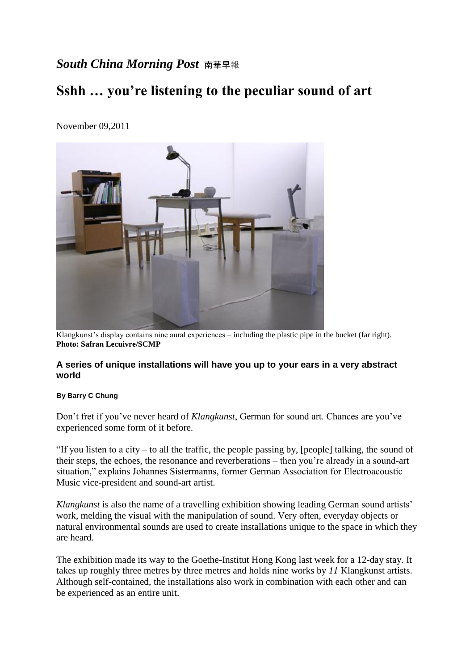## *South China Morning Post* 南華早<sup>報</sup>

# **Sshh … you're listening to the peculiar sound of art**



November 09,2011

Klangkunst's display contains nine aural experiences – including the plastic pipe in the bucket (far right). **Photo: Safran Lecuivre/SCMP**

#### **A series of unique installations will have you up to your ears in a very abstract world**

#### **By Barry C Chung**

Don't fret if you've never heard of *Klangkunst*, German for sound art. Chances are you've experienced some form of it before.

"If you listen to a city – to all the traffic, the people passing by, [people] talking, the sound of their steps, the echoes, the resonance and reverberations – then you're already in a sound-art situation," explains Johannes Sistermanns, former German Association for Electroacoustic Music vice-president and sound-art artist.

*Klangkunst* is also the name of a travelling exhibition showing leading German sound artists' work, melding the visual with the manipulation of sound. Very often, everyday objects or natural environmental sounds are used to create installations unique to the space in which they are heard.

The exhibition made its way to the Goethe-Institut Hong Kong last week for a 12-day stay. It takes up roughly three metres by three metres and holds nine works by *11* Klangkunst artists. Although self-contained, the installations also work in combination with each other and can be experienced as an entire unit.